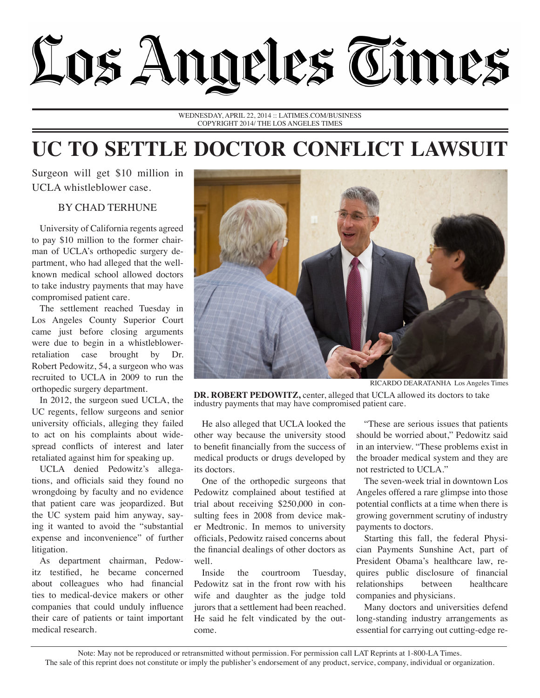

WEDNESDAY, APRIL 22, 2014 :: LATIMES.COM/BUSINESS COPYRIGHT 2014/ THE LOS ANGELES TIMES

## **UC TO SETTLE DOCTOR CONFLICT LAWSUIT**

Surgeon will get \$10 million in UCLA whistleblower case.

## BY CHAD TERHUNE

University of California regents agreed to pay \$10 million to the former chairman of UCLA's orthopedic surgery department, who had alleged that the wellknown medical school allowed doctors to take industry payments that may have compromised patient care.

The settlement reached Tuesday in Los Angeles County Superior Court came just before closing arguments were due to begin in a whistleblowerretaliation case brought by Dr. Robert Pedowitz, 54, a surgeon who was recruited to UCLA in 2009 to run the orthopedic surgery department.

In 2012, the surgeon sued UCLA, the UC regents, fellow surgeons and senior university officials, alleging they failed to act on his complaints about widespread conflicts of interest and later retaliated against him for speaking up.

UCLA denied Pedowitz's allegations, and officials said they found no wrongdoing by faculty and no evidence that patient care was jeopardized. But the UC system paid him anyway, saying it wanted to avoid the "substantial expense and inconvenience" of further litigation.

As department chairman, Pedowitz testified, he became concerned about colleagues who had financial ties to medical-device makers or other companies that could unduly influence their care of patients or taint important medical research.



RICARDO DEARATANHA Los Angeles Times

**DR. ROBERT PEDOWITZ,** center, alleged that UCLA allowed its doctors to take industry payments that may have compromised patient care.

He also alleged that UCLA looked the other way because the university stood to benefit financially from the success of medical products or drugs developed by its doctors.

One of the orthopedic surgeons that Pedowitz complained about testified at trial about receiving \$250,000 in consulting fees in 2008 from device maker Medtronic. In memos to university officials, Pedowitz raised concerns about the financial dealings of other doctors as well.

Inside the courtroom Tuesday, Pedowitz sat in the front row with his wife and daughter as the judge told jurors that a settlement had been reached. He said he felt vindicated by the outcome.

"These are serious issues that patients should be worried about," Pedowitz said in an interview. "These problems exist in the broader medical system and they are not restricted to UCLA."

The seven-week trial in downtown Los Angeles offered a rare glimpse into those potential conflicts at a time when there is growing government scrutiny of industry payments to doctors.

Starting this fall, the federal Physician Payments Sunshine Act, part of President Obama's healthcare law, requires public disclosure of financial relationships between healthcare companies and physicians.

Many doctors and universities defend long-standing industry arrangements as essential for carrying out cutting-edge re-

Note: May not be reproduced or retransmitted without permission. For permission call LAT Reprints at 1-800-LA Times. The sale of this reprint does not constitute or imply the publisher's endorsement of any product, service, company, individual or organization.